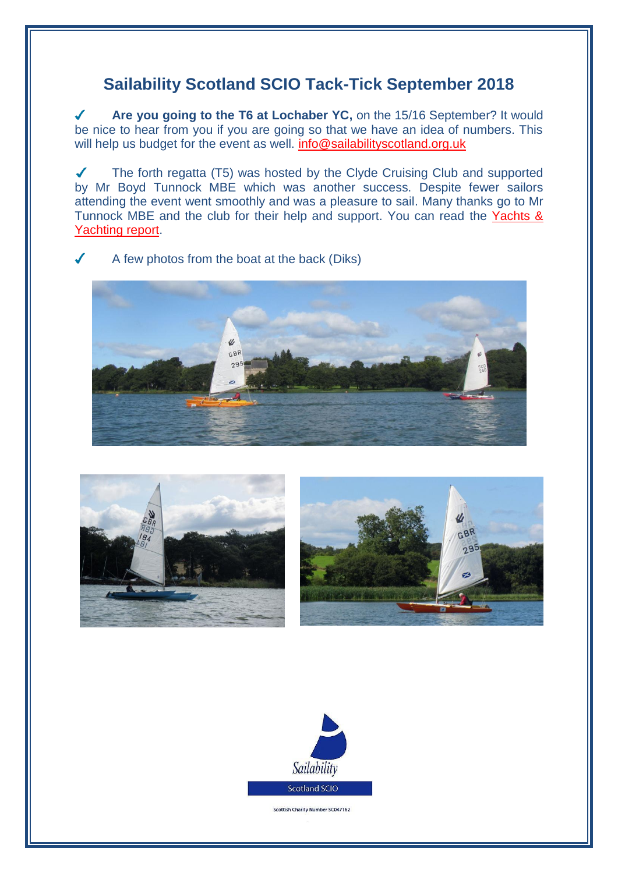## **Sailability Scotland SCIO Tack-Tick September 2018**

 $\sqrt{2}$ **Are you going to the T6 at Lochaber YC,** on the 15/16 September? It would be nice to hear from you if you are going so that we have an idea of numbers. This will help us budget for the event as well. [info@sailabilityscotland.org.uk](mailto:info@sailabilityscotland.org.uk?subject=I)

The forth regatta (T5) was hosted by the Clyde Cruising Club and supported  $\checkmark$ by Mr Boyd Tunnock MBE which was another success. Despite fewer sailors attending the event went smoothly and was a pleasure to sail. Many thanks go to Mr Tunnock MBE and the club for their help and support. You can read the Yachts & [Yachting report.](https://www.yachtsandyachting.com/news/209556/Challengers-at-Bardowie-Loch?source=email)

A few photos from the boat at the back (Diks)







Scottish Charity Number SC047162